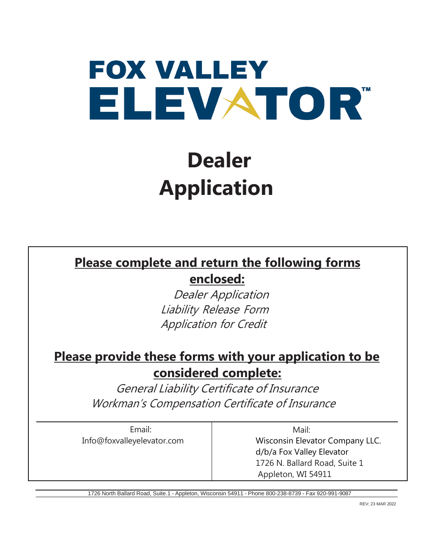# **FOX VALLEY** ELEVATOR"

## **Dealer Application**

#### **Please complete and return the following forms**

**enclosed:**

Dealer Application Liability Release Form Application for Credit

#### **Please provide these forms with your application to be considered complete:**

General Liability Certificate of Insurance Workman's Compensation Certificate of Insurance

Email: [Info@foxvalleyelevator.com](mailto:Info@foxvalleyelevator.com)

Mail: Wisconsin Elevator Company LLC. d/b/a Fox Valley Elevator 1726 N. Ballard Road, Suite 1 Appleton, WI 54911

1726 North Ballard Road, Suite.1 - Appleton, Wisconsin 54911 - Phone 800-238-8739 - Fax 920-991-9087

REV; 23 MAR 2022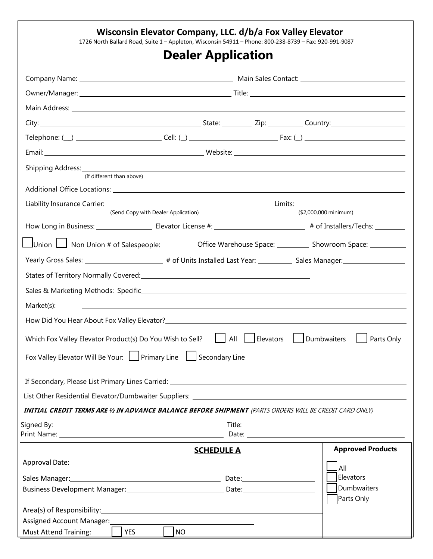|                                                                                                                                                                                                                                | Wisconsin Elevator Company, LLC. d/b/a Fox Valley Elevator<br>1726 North Ballard Road, Suite 1 - Appleton, Wisconsin 54911 - Phone: 800-238-8739 - Fax: 920-991-9087 |                             |                                                    |  |                           |                          |
|--------------------------------------------------------------------------------------------------------------------------------------------------------------------------------------------------------------------------------|----------------------------------------------------------------------------------------------------------------------------------------------------------------------|-----------------------------|----------------------------------------------------|--|---------------------------|--------------------------|
|                                                                                                                                                                                                                                |                                                                                                                                                                      |                             | <b>Dealer Application</b>                          |  |                           |                          |
|                                                                                                                                                                                                                                |                                                                                                                                                                      |                             |                                                    |  |                           |                          |
|                                                                                                                                                                                                                                |                                                                                                                                                                      |                             |                                                    |  |                           |                          |
| Main Address: Universe of the Communication of the Communication of the Communication of the Communication of                                                                                                                  |                                                                                                                                                                      |                             |                                                    |  |                           |                          |
|                                                                                                                                                                                                                                |                                                                                                                                                                      |                             |                                                    |  |                           |                          |
|                                                                                                                                                                                                                                |                                                                                                                                                                      |                             |                                                    |  |                           |                          |
|                                                                                                                                                                                                                                |                                                                                                                                                                      |                             |                                                    |  |                           |                          |
|                                                                                                                                                                                                                                | (If different than above)                                                                                                                                            |                             |                                                    |  |                           |                          |
|                                                                                                                                                                                                                                |                                                                                                                                                                      |                             |                                                    |  |                           |                          |
|                                                                                                                                                                                                                                |                                                                                                                                                                      |                             |                                                    |  |                           |                          |
| (Send Copy with Dealer Application)                                                                                                                                                                                            |                                                                                                                                                                      |                             |                                                    |  | (\$2,000,000 minimum)     |                          |
|                                                                                                                                                                                                                                |                                                                                                                                                                      |                             |                                                    |  |                           |                          |
| Union I Non Union # of Salespeople: ___________ Office Warehouse Space: _________ Showroom Space: _________                                                                                                                    |                                                                                                                                                                      |                             |                                                    |  |                           |                          |
| Yearly Gross Sales: ______________________________# of Units Installed Last Year: ____________ Sales Manager: _________________________                                                                                        |                                                                                                                                                                      |                             |                                                    |  |                           |                          |
|                                                                                                                                                                                                                                |                                                                                                                                                                      |                             |                                                    |  |                           |                          |
|                                                                                                                                                                                                                                |                                                                                                                                                                      |                             |                                                    |  |                           |                          |
| Market(s):                                                                                                                                                                                                                     |                                                                                                                                                                      |                             |                                                    |  |                           |                          |
| How Did You Hear About Fox Valley Elevator?<br>The Manuscript Contract of the Contract of the Contract of the Contract of the Contract of the Contract of the                                                                  |                                                                                                                                                                      |                             |                                                    |  |                           |                          |
| Which Fox Valley Elevator Product(s) Do You Wish to Sell? $\Box$ All $\Box$ Elevators $\Box$ Dumbwaiters $\Box$ Parts Only                                                                                                     |                                                                                                                                                                      |                             |                                                    |  |                           |                          |
| Fox Valley Elevator Will Be Your: Primary Line Secondary Line                                                                                                                                                                  |                                                                                                                                                                      |                             |                                                    |  |                           |                          |
| If Secondary, Please List Primary Lines Carried: National Communication of the Care of the Care of the Care of                                                                                                                 |                                                                                                                                                                      |                             |                                                    |  |                           |                          |
| List Other Residential Elevator/Dumbwaiter Suppliers: Law and Contract Contract Contract Contract Contract Contract Contract Contract Contract Contract Contract Contract Contract Contract Contract Contract Contract Contrac |                                                                                                                                                                      |                             |                                                    |  |                           |                          |
| INITIAL CREDIT TERMS ARE 1/2 IN ADVANCE BALANCE BEFORE SHIPMENT (PARTS ORDERS WILL BE CREDIT CARD ONLY)                                                                                                                        |                                                                                                                                                                      |                             |                                                    |  |                           |                          |
|                                                                                                                                                                                                                                |                                                                                                                                                                      |                             |                                                    |  |                           |                          |
|                                                                                                                                                                                                                                |                                                                                                                                                                      |                             |                                                    |  |                           |                          |
|                                                                                                                                                                                                                                |                                                                                                                                                                      |                             | <b>SCHEDULE A</b>                                  |  |                           | <b>Approved Products</b> |
|                                                                                                                                                                                                                                |                                                                                                                                                                      |                             |                                                    |  |                           | All                      |
|                                                                                                                                                                                                                                |                                                                                                                                                                      |                             |                                                    |  | Elevators                 |                          |
|                                                                                                                                                                                                                                |                                                                                                                                                                      |                             |                                                    |  | Dumbwaiters<br>Parts Only |                          |
| Area(s) of Responsibility: Manual Area and Area and Area and Area and Area and Area and Area and Area and Area and Area and Area and Area and Area and Area and Area and Area and Area and Area and Area and Area and Area and |                                                                                                                                                                      |                             |                                                    |  |                           |                          |
| Assigned Account Manager:<br>San Assigned Account Manager:                                                                                                                                                                     |                                                                                                                                                                      |                             | <u> 1989 - John Stein, Amerikaansk politiker (</u> |  |                           |                          |
| <b>Must Attend Training:</b>                                                                                                                                                                                                   | <b>Example 18</b>                                                                                                                                                    | $\overline{\phantom{a}}$ NO |                                                    |  |                           |                          |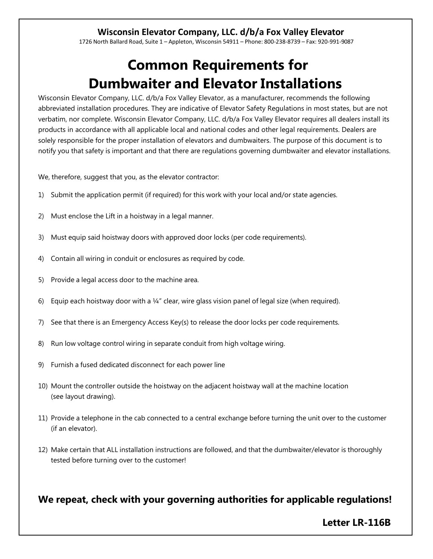#### **Wisconsin Elevator Company, LLC. d/b/a Fox Valley Elevator**

1726 North Ballard Road, Suite 1 – Appleton, Wisconsin 54911 – Phone: 800-238-8739 – Fax: 920-991-9087

## **Common Requirements for Dumbwaiter and Elevator Installations**

Wisconsin Elevator Company, LLC. d/b/a Fox Valley Elevator, as a manufacturer, recommends the following abbreviated installation procedures. They are indicative of Elevator Safety Regulations in most states, but are not verbatim, nor complete. Wisconsin Elevator Company, LLC. d/b/a Fox Valley Elevator requires all dealers install its products in accordance with all applicable local and national codes and other legal requirements. Dealers are solely responsible for the proper installation of elevators and dumbwaiters. The purpose of this document is to notify you that safety is important and that there are regulations governing dumbwaiter and elevator installations.

We, therefore, suggest that you, as the elevator contractor:

- 1) Submit the application permit (if required) for this work with your local and/or state agencies.
- 2) Must enclose the Lift in a hoistway in a legal manner.
- 3) Must equip said hoistway doors with approved door locks (per code requirements).
- 4) Contain all wiring in conduit or enclosures as required by code.
- 5) Provide a legal access door to the machine area.
- 6) Equip each hoistway door with a  $\frac{1}{4}$ " clear, wire glass vision panel of legal size (when required).
- 7) See that there is an Emergency Access Key(s) to release the door locks per code requirements.
- 8) Run low voltage control wiring in separate conduit from high voltage wiring.
- 9) Furnish a fused dedicated disconnect for each power line
- 10) Mount the controller outside the hoistway on the adjacent hoistway wall at the machine location (see layout drawing).
- 11) Provide a telephone in the cab connected to a central exchange before turning the unit over to the customer (if an elevator).
- 12) Make certain that ALL installation instructions are followed, and that the dumbwaiter/elevator is thoroughly tested before turning over to the customer!

**We repeat, check with your governing authorities for applicable regulations!**

#### **Letter LR-116B**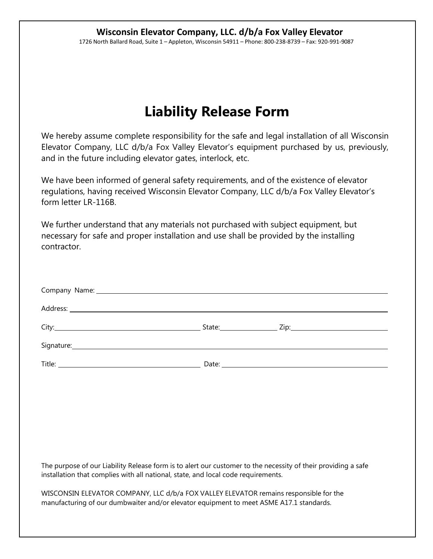## **Liability Release Form**

We hereby assume complete responsibility for the safe and legal installation of all Wisconsin Elevator Company, LLC d/b/a Fox Valley Elevator's equipment purchased by us, previously, and in the future including elevator gates, interlock, etc.

We have been informed of general safety requirements, and of the existence of elevator regulations, having received Wisconsin Elevator Company, LLC d/b/a Fox Valley Elevator's form letter LR-116B.

We further understand that any materials not purchased with subject equipment, but necessary for safe and proper installation and use shall be provided by the installing contractor.

| Company Name: 1999 Company Name: 1999 Company Name: 1999 Company Name: 1999 Company Name: 1999 Company Name: 1999 Company Name: 1999 Company Name: 1999 Company Name: 1999 Company October 2008 Company October 2009 Company O |  |  |  |  |  |  |
|--------------------------------------------------------------------------------------------------------------------------------------------------------------------------------------------------------------------------------|--|--|--|--|--|--|
|                                                                                                                                                                                                                                |  |  |  |  |  |  |
|                                                                                                                                                                                                                                |  |  |  |  |  |  |
|                                                                                                                                                                                                                                |  |  |  |  |  |  |
|                                                                                                                                                                                                                                |  |  |  |  |  |  |
|                                                                                                                                                                                                                                |  |  |  |  |  |  |
|                                                                                                                                                                                                                                |  |  |  |  |  |  |
|                                                                                                                                                                                                                                |  |  |  |  |  |  |
|                                                                                                                                                                                                                                |  |  |  |  |  |  |
|                                                                                                                                                                                                                                |  |  |  |  |  |  |
| The purpose of our Liability Release form is to alert our customer to the necessity of their providing a safe<br>installation that complies with all national, state, and local code requirements.                             |  |  |  |  |  |  |
| WISCONSIN ELEVATOR COMPANY, LLC d/b/a FOX VALLEY ELEVATOR remains responsible for the<br>manufacturing of our dumbwaiter and/or elevator equipment to meet ASME A17.1 standards.                                               |  |  |  |  |  |  |
|                                                                                                                                                                                                                                |  |  |  |  |  |  |